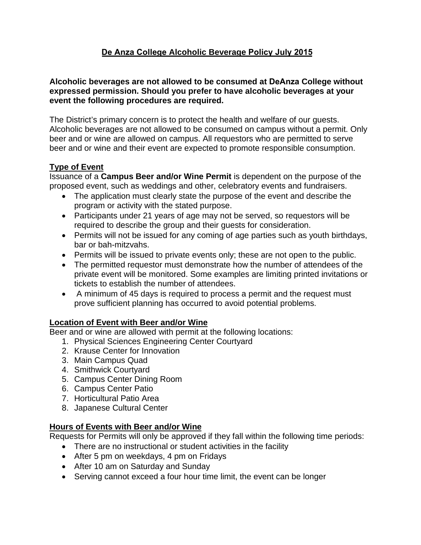# **De Anza College Alcoholic Beverage Policy July 2015**

#### **Alcoholic beverages are not allowed to be consumed at DeAnza College without expressed permission. Should you prefer to have alcoholic beverages at your event the following procedures are required.**

The District's primary concern is to protect the health and welfare of our guests. Alcoholic beverages are not allowed to be consumed on campus without a permit. Only beer and or wine are allowed on campus. All requestors who are permitted to serve beer and or wine and their event are expected to promote responsible consumption.

### **Type of Event**

Issuance of a **Campus Beer and/or Wine Permit** is dependent on the purpose of the proposed event, such as weddings and other, celebratory events and fundraisers.

- The application must clearly state the purpose of the event and describe the program or activity with the stated purpose.
- Participants under 21 years of age may not be served, so requestors will be required to describe the group and their guests for consideration.
- Permits will not be issued for any coming of age parties such as youth birthdays, bar or bah-mitzvahs.
- Permits will be issued to private events only; these are not open to the public.
- The permitted requestor must demonstrate how the number of attendees of the private event will be monitored. Some examples are limiting printed invitations or tickets to establish the number of attendees.
- A minimum of 45 days is required to process a permit and the request must prove sufficient planning has occurred to avoid potential problems.

### **Location of Event with Beer and/or Wine**

Beer and or wine are allowed with permit at the following locations:

- 1. Physical Sciences Engineering Center Courtyard
- 2. Krause Center for Innovation
- 3. Main Campus Quad
- 4. Smithwick Courtyard
- 5. Campus Center Dining Room
- 6. Campus Center Patio
- 7. Horticultural Patio Area
- 8. Japanese Cultural Center

### **Hours of Events with Beer and/or Wine**

Requests for Permits will only be approved if they fall within the following time periods:

- There are no instructional or student activities in the facility
- After 5 pm on weekdays, 4 pm on Fridays
- After 10 am on Saturday and Sunday
- Serving cannot exceed a four hour time limit, the event can be longer